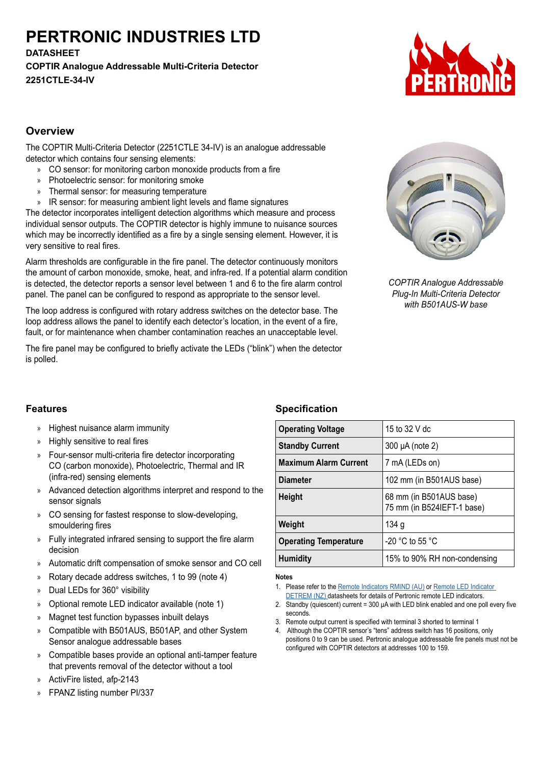# **PERTRONIC INDUSTRIES LTD**

**DATASHEET**

**COPTIR Analogue Addressable Multi-Criteria Detector 2251CTLE-34-IV**



## **Overview**

The COPTIR Multi-Criteria Detector (2251CTLE 34-IV) is an analogue addressable detector which contains four sensing elements:

- » CO sensor: for monitoring carbon monoxide products from a fire
- » Photoelectric sensor: for monitoring smoke
- » Thermal sensor: for measuring temperature
- » IR sensor: for measuring ambient light levels and flame signatures

The detector incorporates intelligent detection algorithms which measure and process individual sensor outputs. The COPTIR detector is highly immune to nuisance sources which may be incorrectly identified as a fire by a single sensing element. However, it is very sensitive to real fires.

Alarm thresholds are configurable in the fire panel. The detector continuously monitors the amount of carbon monoxide, smoke, heat, and infra-red. If a potential alarm condition is detected, the detector reports a sensor level between 1 and 6 to the fire alarm control panel. The panel can be configured to respond as appropriate to the sensor level.

The loop address is configured with rotary address switches on the detector base. The loop address allows the panel to identify each detector's location, in the event of a fire, fault, or for maintenance when chamber contamination reaches an unacceptable level.

The fire panel may be configured to briefly activate the LEDs ("blink") when the detector is polled.



*COPTIR Analogue Addressable Plug-In Multi-Criteria Detector with B501AUS-W base*

# **Features**

- » Highest nuisance alarm immunity
- » Highly sensitive to real fires
- » Four-sensor multi-criteria fire detector incorporating CO (carbon monoxide), Photoelectric, Thermal and IR (infra-red) sensing elements
- » Advanced detection algorithms interpret and respond to the sensor signals
- » CO sensing for fastest response to slow-developing, smouldering fires
- » Fully integrated infrared sensing to support the fire alarm decision
- » Automatic drift compensation of smoke sensor and CO cell
- » Rotary decade address switches, 1 to 99 (note 4)
- » Dual LEDs for 360° visibility
- » Optional remote LED indicator available (note 1)
- » Magnet test function bypasses inbuilt delays
- » Compatible with B501AUS, B501AP, and other System Sensor analogue addressable bases
- » Compatible bases provide an optional anti-tamper feature that prevents removal of the detector without a tool
- » ActivFire listed, afp-2143
- » FPANZ listing number PI/337

# **Specification**

| <b>Operating Voltage</b>     | 15 to 32 V dc                                         |
|------------------------------|-------------------------------------------------------|
| <b>Standby Current</b>       | 300 µA (note 2)                                       |
| <b>Maximum Alarm Current</b> | 7 mA (LEDs on)                                        |
| <b>Diameter</b>              | 102 mm (in B501AUS base)                              |
| <b>Height</b>                | 68 mm (in B501AUS base)<br>75 mm (in B524IEFT-1 base) |
| Weight                       | 134 g                                                 |
| <b>Operating Temperature</b> | -20 °C to 55 °C                                       |
| <b>Humidity</b>              | 15% to 90% RH non-condensing                          |

#### **Notes**

- 1. Please refer to the [Remote Indicators RMIND \(AU\)](https://dl.pertronic.net/gPK4M1i3waTcmC7rdQZedj) or [Remote LED Indicator](https://dl.pertronic.net/depT2CTncq45dGpkrRp3Kv)  [DETREM \(NZ\) d](https://dl.pertronic.net/depT2CTncq45dGpkrRp3Kv)atasheets for details of Pertronic remote LED indicators.
- 2. Standby (quiescent) current = 300 µA with LED blink enabled and one poll every five seconds.
- 3. Remote output current is specified with terminal 3 shorted to terminal 1
- 4. Although the COPTIR sensor's "tens" address switch has 16 positions, only positions 0 to 9 can be used. Pertronic analogue addressable fire panels must not be configured with COPTIR detectors at addresses 100 to 159.